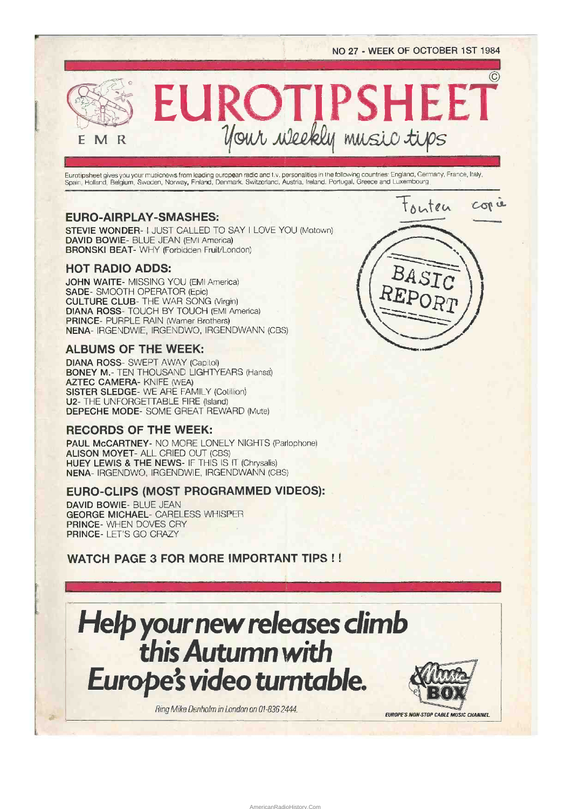$\circled{c}$ 

EUROTIPSHEET  $M$  R

Eurotipsheet gives you your musicnevvs from leading european radio and IN. personalities in the following countries: England, Germany, France, Italy, Spain, Holland, Belgium, Sweden, Norway, Finland, Denmark. Switzerland. Austria, Ireland, Portugal, Greece and Luxembourg\_

# EURO-AIRPLAY-SMASHES:

STEVIE WONDER- I JUST CALLED TO SAY I LOVE YOU (Motown) DAVID BOWIE- BLUE JEAN (EMI America) BRONSKI BEAT- WHY (Forbidden Fruit/London)

## HOT RADIO ADDS:

E

JOHN WAITE- MISSING YOU (EMI America) SADE- SMOOTH OPERATOR (Epic) CULTURE CLUB- THE WAR SONG (Virgin) DIANA ROSS- TOUCH BY TOUCH (EMI America) PRINCE- PURPLE RAIN (Warner Brothers) NENA- IRGENDWIE, IRGENDWO, IRGENDWANN (CBS)

## ALBUMS OF THE WEEK:

DIANA ROSS- SWEPT AWAY (Capitol) BONEY M.- TEN THOUSAND LIGHTYEARS (Hansa) AZTEC CAMERA- KNIFE (WEA) SISTER SLEDGE- WE ARE FAMILY (Cotillion) U2- THE UNFORGETTABLE FIRE (Island) DEPECHE MODE- SOME GREAT REWARD (Mute)

## RECORDS OF THE WEEK:

PAUL McCARTNEY- NO MORE LONELY NIGHTS (Parlophone) ALISON MOYET- ALL CRIED OUT (CBS) HUEY LEWIS & THE NEWS- IF THIS IS IT (Chrysalis) NENA- IRGENDWO, IRGENDWIE, IRGENDWANN (CBS)

# EURO-CLIPS (MOST PROGRAMMED VIDEOS):

DAVID BOWIE- BLUE JEAN GEORGE MICHAEL- CARELESS WHISPER PRINCE- WHEN DOVES CRY PRINCE- LET'S GO CRAZY

WATCH PAGE 3 FOR MORE IMPORTANT TIPS ! !

# Helpyour newreleases climb this Autumn with Europe's video turntable.

AmericanRadioHistory.Com

Ring Mike Denholm in London on 01-836 2444.

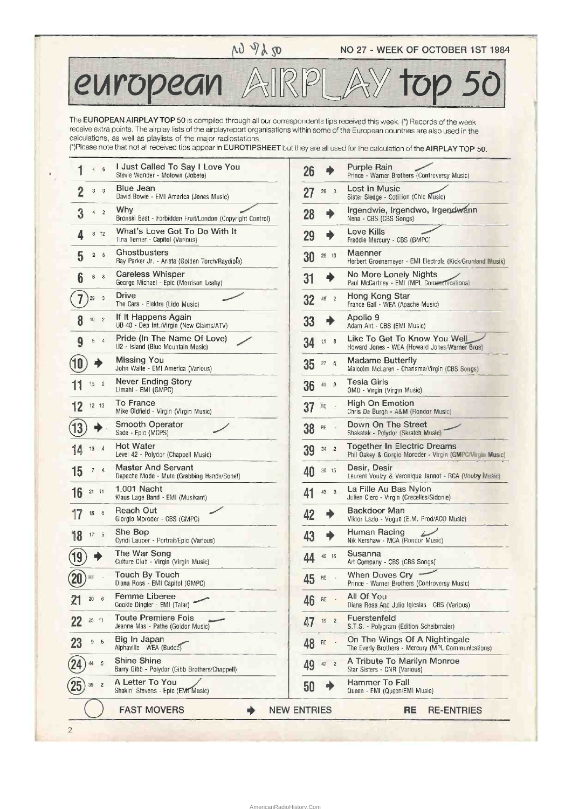# $\sim \sqrt{32 - 125}$  NO 27 - WEEK OF OCTOBER 1ST 1984

european AIRPLAY top 50

The EUROPEAN AIRPLAY TOP 50 is compiled through all our correspondents tips received this week. (\*) Records of the week receive extra points. The airplay lists of the airplayreport organisations within some of the European countries are also used in the calculations, as well as playlists of the major radiostations.

(\*)Please note that not all received tips appear in EUROTIPSHEET but they are all used for the calculation of the AIRPLAY TOP 50.

| $\overline{6}$<br>4      | I Just Called To Say I Love You<br>Stevie Wonder - Motown (Jobete) | 26                 |     |                | Purple Rain<br>Prince - Warner Brothers (Controversy Music)                             |
|--------------------------|--------------------------------------------------------------------|--------------------|-----|----------------|-----------------------------------------------------------------------------------------|
| 3<br>$\overline{3}$      | <b>Blue Jean</b><br>David Bowie - EMI America (Jones Music)        | 27                 |     | $26 \quad 3$   | Lost In Music<br>Sister Sledge - Cotillion (Chic Music)                                 |
| 3<br>$\overline{2}$<br>4 | Why<br>Bronski Beat - Forbidden Fruit/London (Copyright Control)   | 28                 |     | ♦              | Irgendwie, Irgendwo, Irgendwann<br>Nena - CBS (CBS Songs)                               |
| $8 + 2$                  | What's Love Got To Do With It<br>Tina Turner - Capitol (Various)   | 29                 |     | ◆              | Love Kills<br>Freddie Mercury - CBS (GMPC)                                              |
| 5<br>$-8$<br>2           | Ghostbusters<br>Ray Parker Jr. - Arista (Golden Torch/Raydiola)    | 30                 |     | 28 10          | Maenner<br>Herbert Groenemeyer - EMI Electrola (Kick/Grunland Musik)                    |
| 6<br>8<br>6              | <b>Careless Whisper</b><br>George Michael - Epic (Morrison Leahy)  | 31                 |     | 4              | No More Lonely Nights<br>Paul McCartney - EMI (MPL, Communications)                     |
| $\overline{3}$<br>29     | Drive<br>The Cars - Elektra (Lido Music)                           | 32                 |     | $48^{\circ}$ 2 | Hong Kong Star<br>France Gall - WEA (Apache Music)                                      |
| 8<br>$10$ $2$            | If It Happens Again<br>UB 40 - Dep Int./Virgin (New Claims/ATV)    | 33                 |     |                | Apollo 9<br>Adam Ant - CBS (EMI Music)                                                  |
| 9<br>$5 - 4$             | Pride (In The Name Of Love)<br>U2 - Island (Blue Mountain Music)   | 34                 |     | $11 - 8$       | Like To Get To Know You Well<br>Howard Jones - WEA (Howard Jones/Warner Bros)           |
|                          | <b>Missing You</b><br>John Waite - EMI America (Various)           | 35                 |     | $27 - 5$       | <b>Madame Butterfly</b><br>Malcolm McLaren - Charisma/Virgin (CBS Songs)                |
| 15 2                     | Never Ending Story<br>Limahl - EMI (GMPC)                          | 36                 |     | 41 3           | <b>Tesla Girls</b><br>OMD - Virgin (Virgin Music)                                       |
| $12 - 13$                | To France<br>Mike Oldfield - Virgin (Virgin Music)                 | 37                 | .RĘ |                | <b>High On Emotion</b><br>Chris De Burgh - A&M (Rondor Music)                           |
|                          | Smooth Operator<br>Sade - Epic (MCPS)                              | 38                 | RE  |                | Down On The Street<br>Shakatak - Polydor (Skratch Music)                                |
| $13 \quad 4$             | <b>Hot Water</b><br>Level 42 - Polydor (Chappell Music)            | 39                 |     | $34$ 2         | Together In Electric Dreams<br>Phil Oakey & Gorgio Moroder - Virgin (GMPC/Virgin Music) |
| 15<br>$7 - 4.$           | Master And Servant<br>Depeche Mode - Mute (Grabbing Hands/Sonet)   | 40                 |     | 30 15          | Desir, Desir<br>Laurent Voulzy & Veronique Jannot - RCA (Voulzy Music)                  |
| 16<br>21 11              | 1.001 Nacht<br>Klaus Lage Band - EMI (Musikant)                    | 41                 |     | 43 3           | La Fille Au Bas Nylon<br>Julien Clerc - Virgin (Crecelles/Sidonie)                      |
| $-5$<br>$16\,$           | Reach Out<br>Giorgio Moroder - CBS (GMPC)                          | 42                 |     | ♦              | Backdoor Man<br>Viktor Lazlo - Vogue (E.M. Prod/ACO Music)                              |
| $17 - 5$<br>18           | She Bop<br>Cyndi Lauper - Portrait/Epic (Various)                  | 43                 |     | ♦              | Human Racing<br>Nik Kershaw - MCA (Rondor Music)                                        |
|                          | The War Song<br>Culture Club - Virgin (Virgin Music)               | ΔΔ                 |     | 45 15          | Susanna<br>Art Company - CBS (CBS Songs)                                                |
| RĘ                       | <b>Touch By Touch</b><br>Diana Ross - EMI Capitol (GMPC)           | 45                 | RE  |                | When Doves Cry<br>Prince - Warner Brothers (Controversy Music)                          |
| 20<br>6                  | Femme Liberee<br>Cookie Dingler - EMI (Talar)                      | 46                 | RÈ  |                | All Of You<br>Diana Ross And Julio Iglesias - CBS (Various)                             |
| 25:11                    | <b>Toute Premiere Fois</b><br>Jeanne Mas - Pathe (Goldor Music)    | 47                 |     | $19$ 2         | Fuerstenfeld<br>S.T.S. - Polygram (Edition Scheibmater)                                 |
| 23<br>9.5                | Big In Japan<br>Alphaville - WEA (Budde)                           | 48                 | RE  | $\sim$ $\sim$  | On The Wings Of A Nightingale<br>The Everly Brothers - Mercury (MPL Communications)     |
| $-5$<br>44               | Shine Shine<br>Barry Gibb - Polydor (Gibb Brothers/Chappell)       | 49                 |     | $42$ 2         | A Tribute To Marilyn Monroe<br>Star Sisters - CNR (Various)                             |
| $39 \qquad 2$            | A Letter To You<br>Shakin' Stevens - Epic (EMT Music)              | 50                 |     |                | Hammer To Fall<br>Queen - EMI (Queen/EMI Music)                                         |
|                          | <b>FAST MOVERS</b>                                                 | <b>NEW ENTRIES</b> |     |                | RE<br><b>RE-ENTRIES</b>                                                                 |

2

|    | ITRIES               | <b>RE-ENTRIES</b><br>RE                                                                 |
|----|----------------------|-----------------------------------------------------------------------------------------|
| 50 |                      | Hammer To Fall<br>Queen - EMI (Queen/EMI Music)                                         |
| 49 | 42<br>2              | A Tribute To Marilyn Monroe<br>Star Sisters - CNR (Various)                             |
| 48 | RE                   | On The Wings Of A Nightingale<br>The Everly Brothers - Mercury (MPL Communications)     |
| 47 | $\overline{2}$<br>19 | Fuerstenfeld<br>S.T.S. - Polygram (Edition Scheibmater)                                 |
| 46 | RË                   | All Of You<br>Diana Ross And Julio Iglesias - CBS (Various)                             |
| 45 | RE                   | When Doves Cry<br>Prince - Warner Brothers (Controversy Music)                          |
| 44 | 45<br>-15            | Susanna<br>Art Company - CBS (CBS Songs)                                                |
| 43 |                      | Human Racing<br>Nik Kershaw - MCA (Rondor Music)                                        |
| 42 |                      | Backdoor Man<br>Viktor Lazio - Vogue (E.M. Prod/ACO Music)                              |
| 41 | 43<br>3              | La Fille Au Bas Nylon<br>Julien Clerc - Virgin (Crecelles/Sidonie)                      |
| 40 | 30<br>15             | Desir, Desir<br>Laurent Voulzy & Veronique Jannot - RCA (Voulzy Music)                  |
| 39 | $\overline{2}$<br>34 | Together In Electric Dreams<br>Phil Oakey & Gorgio Moroder - Virgin (GMPC/Virgin Music) |
| 38 | ЯE                   | Down On The Street<br>Shakatak - Polydor (Skratch Music)                                |
| 37 | RĘ                   | High On Emotion<br>Chris De Burgh - A&M (Rondor Music)                                  |
| 36 | 41<br>3              | Tesla Girls<br>OMD - Virgin (Virgin Music)                                              |
| 35 | 27<br>$\sqrt{2}$     | Madame Butterfly<br>Malcolm McLaren - Charisma/Virgin (CBS Songs)                       |
| 34 | $\ddagger$ 1<br>8    | Like To Get To Know You Well<br>Howard Jones - WEA (Howard Jones/Warner Bros)           |
| 33 | 4                    | Apollo 9<br>Adam Ant - CBS (EMI Music)                                                  |
| 32 | 48<br>$\overline{c}$ | Hong Kong Star<br>France Gall - WEA (Apache Music)                                      |
| 31 |                      | No More Lonely Nights<br>Paul McCartney - EMI (MPL Communications)                      |
| 30 | 28 10                | Herbert Groenemeyer - EMI Electrola (Kick/Grunland Musik)                               |
| 29 | ∙                    | Love Kills<br>Freddie Mercury - CBS (GMPC)<br>Maenner                                   |
| 28 | ۰                    | Irgendwie, Irgendwo, Irgendwann<br>Nena - CBS (CBS Songs)                               |
| 27 | $\mathbf{3}$<br>26   | Sister Sledge - Cotillion (Chic Music)                                                  |
|    |                      | Prince - Warner Brothers (Controversy Music)<br>Lost In Music                           |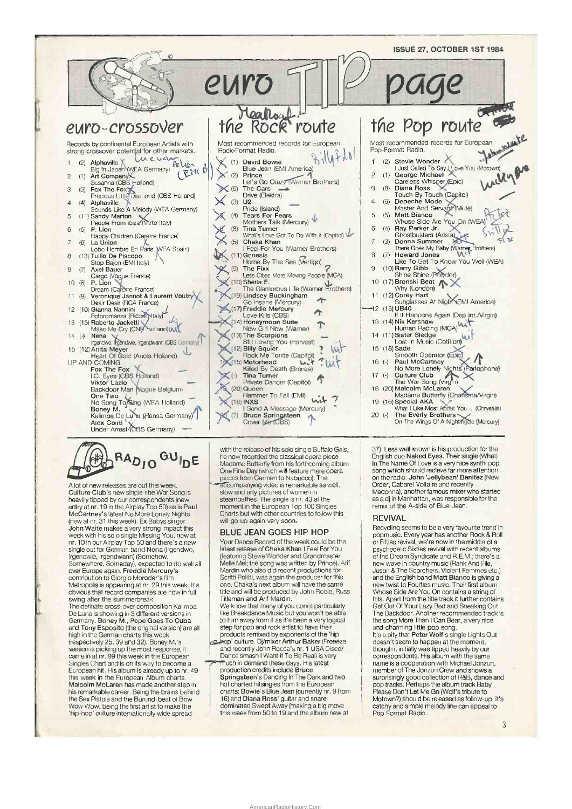



A lot of new releases are out this week Culture Club's new single The War Song is<br>heavilly tipped by our correspondents (new For the Airplay Top 50) as is Paul<br>McCartney's latest No More Lonely Nights<br>(new at nr. 31 this week). Ex Babys singer John Waite makes a very strong impact this<br>week with his solo single Missing You, new at<br>nr. 10 in our Airplay Top 50 and there's a new single out for German band Nena (Irgendwo,<br>Irgendwie, Irgendwann) (Somehow, Somewhere, Someday), expected to do well all<br>over Europe again. Freddie Mercury's<br>contribution to Giorgio Moroder's film Solution is appearing at nr. 29 this week. It's<br>obvious that record companies are now in full<br>swing after the summerbreak. The definate cross-over composition Kalimba<br>De Luna is showing in 3 different versions in<br>Germany. Boney M., Pepe Goes To Cuba and Tony Esposito (the original version) are all<br>high in the German charts this week (respectively 25, 39 and 32). Boney M.'s version is picking up the most response, it<br>came in at nr. 99 this week in the European Singles Chart and is on its way to become a European hit. His album is already up to nr. 49<br>this week in the European Album charts. Malcolm McLaren has made another step in his remarkable career. Being the brains behind<br>the Sex Pistols and the Burundi beat of Bow Wow Wow, being the first artist to make the 'hip-hop' culture internationally wide spread

with the release of his solo single Buffalo Gals,<br>he now recorded the classical opera piece Madame Butterfly from his forthcoming album One Fine Day (which will feature mere opera<br>pieces from Carmen to Nabucco). The

Faccompanying video is remarkable as well<br>slow and arty pictures of women in<br>steambathes. The single is nr. 43 at the moment in the European Top 100 Singles<br>Charts but with other countries to follow this will go up again very soon.

## BLUE JEAN GOES HIP HOP

Your Dance Record of the week could be the<br>fatest release of Chaka Khan I Feel For You (featuring Stevie Wonder and Grandmaster Melle Mel; the song was written by Prince). Arif<br>Mardin who also did recent productions for Next if Politic, was again the producer for this<br>one. Chaka's next album will have the same<br>title and will be produced by John Robie, Russ Titleman and Arif Mardin

We know that many of you donot particularly<br>like Breakdance Music but you won't be able to tum away from it as it's been a very logical step for pop and rock artist to have their products remixed by exponents of the 'hip

program for Collection Arthur Baker (FreeBze<br>and recently John Rocca's nr. 1 USA Disco/<br>Dance smash I Want it To Be Real) is very

much in demand these days. His latest<br>production credits include Bruce Springsteen's Dancing In The Dark and two<br>hot charted hitsingles from the European<br>charts: Bowie's Blue Jean (currently nr. 9 from 16) and Diana Ross' guitar and snare dominated Swept Away (making a big move<br>this week from 50 to 19 and the album new at

AmericanRadioHistory Con

37). Less well known is his production for the<br>English duo Naked Eyes. Their single (What) In The Name Of Love is a very nice synthi pop<br>song which should recleve far more attention on the radio. John 'Jellybean' Benitez (New Order, Cabaret Voltaire and recently<br>Madonna), another famous mixer who started as a dj in Manhattan, was responsible for the<br>remix of the A-side of Blue Jean.

### **REVIVAL**

Recycling seems to be a very favourite trend in<br>popmusic. Every year has another Rock & Roll<br>or Fitties revival, we're now in the middle of a<br>psychedelic Sixties revival with recent albums of the Dream Syndicate and R.E.M.; there's a new wave in country music (Rank And File,<br>Jason & The Scorchers, Violent Femmes etc.) and the English band Matt Bianco is giving a new twist to Fourties music. Their first album<br>Whose Side Are You On contains a string of hits. Apart from the title track it further contains Get Out Of Your Lazy Bed and Sneaking Out<br>The Backdoor. Another recommended track is the song More Than I Can Bear, a very nice and charming little pop song.<br>It's a pity that Peter Wolf's single Lights Out

doesn't seem to happen at the moment, though it initially was tipped heavily by our<br>correspondents. His album with the same name is a cooperation with Michael Jonzun,<br>member of The Jonzun Crew and shows a numerous of the context of R&B, dance and<br>pop tracks. Perhaps the album track Baby<br>Please Don't Let Me Go (Wolf's tribute to Motown?) should be released as follow-up, it's catchy and simple melody line can appeal to<br>Pop Format Radio.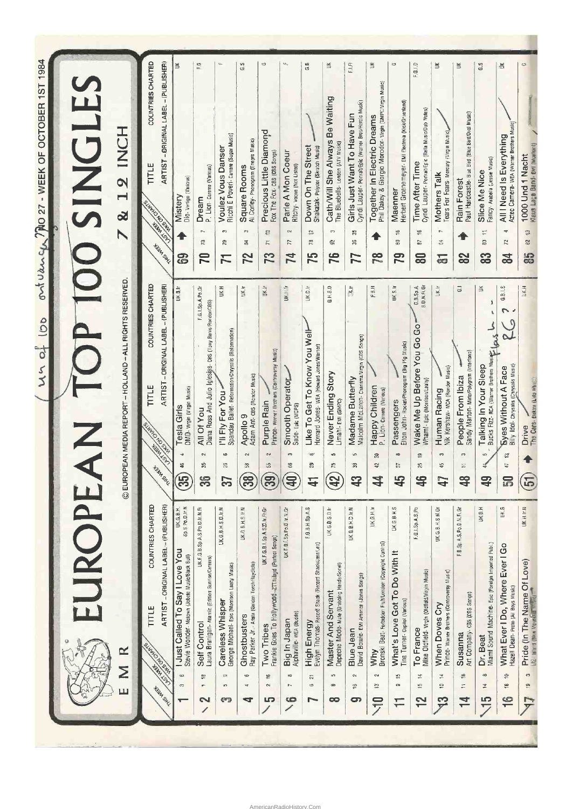| JROP                                                                                                                                                      |                                                                                                                                   | SINGLE                                                                                                          |
|-----------------------------------------------------------------------------------------------------------------------------------------------------------|-----------------------------------------------------------------------------------------------------------------------------------|-----------------------------------------------------------------------------------------------------------------|
| $\propto$<br>Σ<br>ш                                                                                                                                       | C EUROPEAN MEDIA REPORT - HOLLAND - ALL RIGHTS RESERVED.                                                                          | HON<br>$\mathbf{\Omega}$<br>$\blacksquare$<br><u>a</u><br>$\blacktriangleright$                                 |
| COUNTRIES CHARTED<br>ARTIST-ORIGINAL LABEL-(PUBLISHER)<br>TITLE<br>SLANDSO<br>NOSWIN<br>HOWAT LOW<br><b>HORA SHL</b>                                      | COUNTRIES CHARTED<br>ARTIST-ORIGINAL LABEL-(PUBLISHER)<br>TITLE<br>NOSWIN<br>おきらく<br><b>HORN SHL</b>                              | COUNTRIES CHARTED<br>ARTIST-ORIGINAL LABEL-(PUBLISHER)<br>TITLE<br>NOSUM<br><b>High Low</b><br><b>High SHKI</b> |
| Sp.S.Po.D.Ir.N<br>UK.G.B.H.<br>I Just Called To Say I Love You<br>Stevie Wonder- Motown (Jobete Music/Black Bull)<br>$\circ$<br>3<br>T                    | UK.B.Ir<br>OMD- Virgin (Virgin Music)<br>Tesla Girls<br>÷,<br>46<br>$\mathbb{E}$                                                  | $\breve{\equiv}$<br>Mistery<br>Dio-vertigo (Various)<br>ශි                                                      |
| UK.F.G.B.Sp.A.S.Po.D.Ir.N.FI<br>Laura Branigan- Atlantic (Edition Sunrise/Careers)<br>Self Control<br>은<br>$\overline{\mathcal{F}}$<br>2                  | F.G.I.Sp.A.Po.Gr<br>Diana Ross And Julio Iglesias-ces (Tony Renis/Rondor/CBS)<br>All Of You<br>$\sim$<br>Ý,<br>$\frac{6}{5}$      | u,<br>P. Lion- Carerre (Various)<br>Dream<br>r,<br>$\boldsymbol{\mathcal{R}}$<br>70                             |
| UK.G.B.H.S.D.Ir.N<br>George Michael- Epic (Morrison Leahy Music)<br>Careless Whisper<br>$\circ$<br><b>un</b><br>ణ                                         | UK.H<br>Spandau Ballet- Reformation/Chrysalis (Reformation),<br>I'll Fly For You -<br><b>SO</b><br>26<br>57                       | Ricchi E Poveri- Carrere (Sugar Music)<br><b>Voulez Vous Danser</b><br>ę,<br>52<br>7                            |
| UK G.B.H.S.II.N<br>Ray Parker Jr. - Ansia (Golden Torch/Raydiola)<br>Ghostbusters<br>G<br>$\mathbf{x}$<br>◅                                               | UK.h<br>Adam Ant- CBS (Ronder Music)<br>Apollo <sub>9</sub><br>$\sim$<br>58<br>38                                                 | G.S<br><b>Square Rooms</b><br>Al Corley- Phonogram (Enegro Music)<br>b.<br>S,<br>72                             |
| UK.F.G.B.I.Sp.A.S.D.Ir.FRGr<br>Frankie Goes To Hollywood-zTT/Island (Pertect Sengs)<br>Two Tribes<br>چ<br>$\sim$<br>S                                     | Uʦr<br>Prince- warner Brothers (Controversy Music)<br>Purple Rain<br>$\sim$<br>55<br>$\mathbb{S}^2$                               | Precious Little Diamond<br>Fox The Fox- cBS (CBS Songs)<br>유<br>$\overline{\phantom{a}}$<br>73                  |
| UK.F.B.I.Sp.Po.D.Ir.N.Gr<br>Alphaville- wEA (Budde)<br>Big In Japan<br>œ<br>$\overline{\phantom{a}}$<br>$\bullet$                                         | <b>UK</b> aHafr<br>Smooth Operator<br>Sade-Epic (MCPS)<br>$\mathbf{c}$<br>66<br>吕                                                 | Parle A Mon Coeur<br>Ritchy- voque (Not Listed)<br>$\sim$<br>22<br>74                                           |
| F.G.B.H.Sp.A.S<br>Evelyn Thomas- Record Shack (Record ShackJass/Leo)<br>High Energy<br>$\overline{\sim}$<br>$\boldsymbol{\omega}$                         | UK.D.Ir<br>Like To Get To Know You Well-<br>Howard Jones- WEA (Howard Jones/Warner)<br>ಞ<br>28<br>득                               | GB<br>Down On The Street<br>Shakatak- Polydor (Skratch Music)<br>은<br>P.<br>75                                  |
| UK.G.B.S.D.Ir<br>Depeche Mode- Mule (Grabbing Hands/Sonet)<br>Master And Servant<br>5<br>œ<br>œ                                                           | G.H.S.D<br>Never Ending Story<br>Limahl- EMI (GMPC)<br>5<br>r5<br>$\mathbf{F}$                                                    | ¥<br>Cath/Will She Always Be Waiting<br>The Bluebells- London (ATV Music)<br>$\mathbf{C}^{\prime}$<br>e<br>76   |
| UK G.B.H.D.Ir.N<br>David Bowie- EMI America (Jones Songs)<br><b>Blue Jean</b><br>$\sim$<br>$\stackrel{\scriptscriptstyle{6}}{\scriptscriptstyle{+}}$<br>ශ | jk n<br>Malcolm McLaren-Charisma/Virgin (CBS Songs)<br>Madame Butterfly<br>5<br>æ<br>55                                           | FJ.F<br>Cyndi Lauper- PortralvEpic (Warner Bros/Herold Music)<br>Girls Just Want To Have Fun<br>深<br>å,<br>77   |
| <b>JIK.G.H.Ir</b><br>Bronski Beat-Fortidden FrutkLondon (Copyright Control)<br>MW<br>$\sim$<br>≌<br>$\Xi$                                                 | F.B.H<br>Happy Children<br>P. Lion- Carren (Various)<br>ន<br>42<br>4                                                              | š<br>Phil Dakey & Giorgio Morodor- Virgin (GMPC/Virgin Music)<br>Together In Electric Dreams<br>$\frac{8}{3}$   |
| <b>UK.G.B.H.S</b><br>What's Love Got To Do With It<br>Tina Turner-Capitol (Various)<br>ξņ<br>CO.<br>$\mp$                                                 | <b>UK.S.Ir</b><br>Elton John- Rocket/Phonogram (Big Pfg Music)<br>Passengers<br>$\qquad \qquad \bullet$<br>55<br>忠                | Herbert Groenemeyer- EMI Electrola (Mck/Gruenland)<br>Maenner<br>۴<br>59<br>79                                  |
| F.G.I.Sp.A.S.Po<br>Mike Oldfield-Virgin (Oldfield/Virgin Music)<br>To France<br>14<br>S,<br>12                                                            | G.B.Sp.A.<br>S.D.N.Fl.Gr<br>Wake Me Up Before You Go Go<br>Wham! - Epic (Morrison/Lealy)<br>$\overline{a}$<br>25<br>$\frac{4}{5}$ | F.G.I.D<br>Cyndi Lauper- Portrait/Epic (Rella Music/Dub Notes)<br>Time After Time<br>$\frac{1}{2}$<br>55<br>ຘ   |
| UK.G.B.H.S.N.Gr<br>Prince- Warner Brothers (Controversy Music)<br>When Doves Cry<br>콛<br>₽<br>င္ဘာ                                                        | UK.Ir<br>Nik Kershaw- MCA (Rondor Music)<br>Human Racing<br>S,<br>$45$<br>$\mathbf{d}$                                            | $\breve{\equiv}$<br>Tears For Fears- Mercury (Virgin Music)<br>Mothers Talk<br>r-<br>5<br>$\overline{6}$        |
| F.B.Sp.A.S.Po.D.N.Fi.Gr<br>Art Company-cas (CBS Songs)<br>Susanna<br>은<br>$\overline{\phantom{a}}$<br>寸                                                   | 5<br>Sandy Marton- Mirto/Polygram (Interfona)<br>People From Ibiza<br>$\sim$<br>55<br>$\frac{8}{3}$                               | š<br>Paul Hardcastle- Bue Bird (Blue Bird/Oval Music)<br>Rain Forest<br>舎<br>82                                 |
| <b>UKBH</b><br>Miami Sound Machine- Epic (Foreign Imported Publ.)<br>Dr. Beat<br>œ<br>$\sharp$<br>5Ļ                                                      | ž<br>ä,<br>$\mathbf{t}$<br>Bucks Fizz- RCA (Warner Brothers Musik)<br>Talking In Your Sleep<br>$\omega$<br>윿                      | s<br>G<br>Fancy- Arabella (Jessie Music)<br>Slice Me Nice<br>Ħ<br>B<br>33                                       |
| UK.G<br>What Ever I Do, Where Ever I Go<br>Hazell Dean- Proto (All Boys Music)<br>÷,<br>$\overset{\circ}{\cdot}$<br>$\frac{\infty}{1}$                    | 6.81.5<br>U<br>Billy Idol- Chrysalis (Chrysalis Music)<br><b>Eyes Without A Face</b><br>47 13<br>S                                | ă<br>Aztec Camera- weA (warner Brothers Music)"<br>All I Need Is Everything<br>÷<br>52<br>84                    |
| <b>UK.H.Ir.N</b><br>Pride (In The Name Of Love)<br>U2 - Island (Bikus Mountain Mitsie)<br>$\mathcal{O}$<br>ć<br>$\frac{1}{2}$                             | ЦК.Н<br>The Cars- Elektra (Lido Mulle)<br>Drive<br>$\mathbf{E}$                                                                   | Klaus Lags Band- eMI (Mulkent)<br>1000 Und 1 Nacht<br>$\ddot{\mathbb{S}}$<br>29<br>5                            |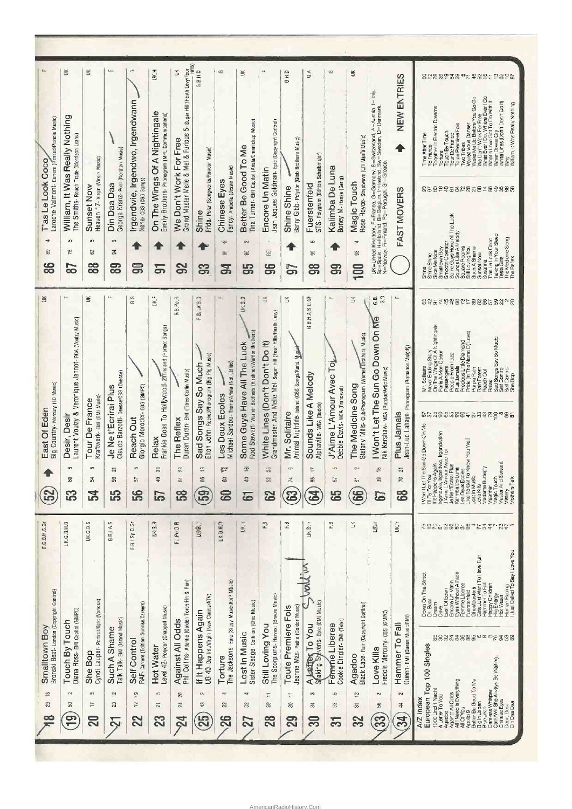|                                                                           | š                                                                                         | ¥                                                                         | kin,                                                                               | G                                                                        | БКЛ                                                                                   | 5- Sugar Hill (Heath Levy/Four<br>š                                                                        | iiiii)<br>G.B.H.D                                                                                         | $\Box$                                                                       | ¥                                                                                                                 | щ                                                                                                                | Q.H.D                                                                            | $\mathbb{G} \mathbb{A}$                                                                       | $\mathbf \sigma$                                                          | Ř                                                                                                     |                                                                                                                                                                           | ENTRIES<br>NEW                                                             | 823882884788952826<br>Voujez Vous Denser<br>Wake Me Up Before You Go Go<br>Wear On Thork For Free Lyer<br>What's Love Got To Do With It<br>What's Love Got To Do With It<br>When Doves Cry<br>White Lines (Don't Don't Do It)<br>Why<br>William, It Was Really Nothing<br>ogether in Electric Dreams<br>Toute Premiere Fois<br>Two Tribes<br>ouch By Touch<br>ine After Time<br>France                                                                                                                                                                                                                                                                                                                                                                                                |
|---------------------------------------------------------------------------|-------------------------------------------------------------------------------------------|---------------------------------------------------------------------------|------------------------------------------------------------------------------------|--------------------------------------------------------------------------|---------------------------------------------------------------------------------------|------------------------------------------------------------------------------------------------------------|-----------------------------------------------------------------------------------------------------------|------------------------------------------------------------------------------|-------------------------------------------------------------------------------------------------------------------|------------------------------------------------------------------------------------------------------------------|----------------------------------------------------------------------------------|-----------------------------------------------------------------------------------------------|---------------------------------------------------------------------------|-------------------------------------------------------------------------------------------------------|---------------------------------------------------------------------------------------------------------------------------------------------------------------------------|----------------------------------------------------------------------------|---------------------------------------------------------------------------------------------------------------------------------------------------------------------------------------------------------------------------------------------------------------------------------------------------------------------------------------------------------------------------------------------------------------------------------------------------------------------------------------------------------------------------------------------------------------------------------------------------------------------------------------------------------------------------------------------------------------------------------------------------------------------------------------|
| Laroche Valmont- Carere (Renaud/Planola Music)<br>T'as Le Look Coco       | William, It Was Really Nothing<br>The Smiths- Rough Trade (Morrison Leahy)                | Heaven 17- Virgin (Virgin Music)<br>Sunset Now                            | George Kranz- Pool (Nordton Music)<br>Din Daa Daa                                  | Irgendwie, Irgendwo, Irgendwann<br>Nena-cBS (CBS Songs)                  | On The Wings Of A Nightingale<br>Everly Brothers-Phonogram (MPL Communications)       | Grand Master Melle & Mel & Furious<br>We Don't Work For Free                                               | Frida- Polar (Songworks/Roador Music)<br>Shine                                                            | Fancy - Arabella (Jessie Music)<br>Chinese Eyes                              | Tina Turner- EMI Capitol (Arista/Chinnichap Music)<br>Better Be Good To Me                                        | Jean Jaques Goldman- Epic (Copyright Control)<br>Encore Un Matin                                                 | Barry Gibb- Polydor (Gibb Brothers Music)<br>Shine Shine                         | STS- Polygram (Edition Scheibmajer)<br>Fuerstenfeld                                           | Kalimba De Luna<br>Boney M- Hansa (Gerig)                                 | Rose Royce- Streetwave (Li1 Maria Music)<br>Magic Touch                                               | LK∈LUntot Kingdom, F=France, G=Germany, S=Switzerland, A=Austra, I=Italy,<br>N=Indoney, F=Fridard, Po=Pkhugal, G=Gleecker<br>N=Indowsy, F=Fridard, Po=Pkhugal, G=Gleecker | FAST MOVERS                                                                | <b>France</b><br>Tour De<br>Torture<br>85829582858789888                                                                                                                                                                                                                                                                                                                                                                                                                                                                                                                                                                                                                                                                                                                              |
| ÷<br>æ<br>86<br>¥                                                         | un,<br>52<br>ဆ<br>$\frac{1}{2}$                                                           | S.<br>S<br>88<br>š                                                        | LO.<br>ङ<br>ၼ<br>LL.                                                               | 5<br>c<br>G                                                              | వ్<br>$\mathbf{u}$                                                                    | ္တ                                                                                                         | ဌာ<br>e                                                                                                   | 192<br>s<br>몽<br>$12-$                                                       | <b>EN</b><br>æ<br>န္တ<br>٥                                                                                        | 뷴<br>96<br>š                                                                                                     | G<br>ž                                                                           | <b>LC</b><br>g<br>ဌ                                                                           | ဌာ<br>红                                                                   | A<br>s<br>$\mathbf{g}$<br>š                                                                           | $\Omega$<br>œ<br>s.                                                                                                                                                       | щ.                                                                         | Shine<br>Bicardelhica<br>Strandhon Dezar<br>Shine Guya Hawa All'ine Luck<br>Some Guya Hawa All'ine Luck<br>Some Rooms<br>Sustain Now<br>Sustain Dock Cocoe<br>Shine Relation<br>The Relation<br>The Relation<br>225천약약22⊨826523098                                                                                                                                                                                                                                                                                                                                                                                                                                                                                                                                                    |
| Big Country- Mercury (10 Music)<br>East Of Eden                           | Jannot-RCA (Voulzy Music)<br>Veronique<br>Laurent Voulzy &<br>Desir, Desir<br>ç<br>S<br>အ | Kraftwerk- EMI (EMI Music)<br>Tour De France<br>¢<br>Z<br>叾               | Claude Barzotti-DesserGBS (Deesse)<br>Je Ne t'Ecrirai Plus<br>22<br>g<br><b>55</b> | Giorgio Moroder-cas (GMPC)<br>Reach Out<br>G<br>57<br>56                 | š<br>Frankie Goes To Hollywood- zriTisland (Perlect Songs)<br>Relax<br>33<br>\$<br>57 | RB.Po.Fi<br>Duran Duran- EMI (Titrec/Carlin Music)<br>The Reflex<br>g,<br>$\overline{\omega}$<br><b>33</b> | FQ ABS<br>Elton John- Rocket/Phonogram (Big Plg Music)<br>Sad Songs Say So Much<br>믚<br>窑<br>$\mathbf{E}$ | Michael Sardou- Trema/Arlola (Not Listed)<br>Les Deux Ecoles<br>ę<br>8<br>සි | G,<br>ЦK,<br>Rod Stewart-Warner Brothers (Kirshner/Warner Brothers)<br>Some Guys Have All The Luck<br>₽<br>믕<br>6 | Grandmaster And Melle Mel- Sugar Hill (Four Hills/Heath Levy)<br>White Lines (Don't Don't Do It)<br>23<br>S<br>ဥ | Animal Nightlife- Island (CBS Songs/Karta Music<br>Mr. Solitaire<br>6<br>74<br>3 | G.B.H.A.S.D.GM<br>Sounds Like A Melody<br>Alphaville- WEA (Budde)<br>1T<br>59<br>$\mathbf{g}$ | J'Aime L'Amour Avec Toj<br>Debbie Davis-WEA (Franceval)<br>LC.<br>2<br>65 | Stefany Mills- Club/Phonogram (Warner Brothers Music)<br>The Medicine Song<br>$\mathbf{z}$<br>눎<br>66 | Ġ<br>I Won't Let The Sun Go Down On Me<br>Nik Kershaw- MCA (Rondor/Artic Music)<br>$\stackrel{\circ}{+}$<br>兽<br>ි                                                        | Jean-Luc Lahaye- Phonogram (Romance Melody)<br>Plus Jamais<br>진<br>5<br>89 | Never Ending Story<br>On The Wings Of A Nightingale<br>Parle A Mon Coeur<br>Precious Little Diamond<br>Pride (In The Name C( Love)<br>Sad Songs Say So Much.<br>Self Control<br>Self Control<br>She Bop<br>Passengers<br>People From Ibiza<br>Solitaire<br>Plus Jamals<br>Purple Rain<br>Rain Forest<br>Reach Out<br>Relax<br><b>C</b> 28888884689226<br>  Won't Let The Sun Go Down On Me<br>  IIT Fly For You<br>  IIt Happers Agalvo _ Igendwahn<br>  J'Aine L'Amour Avec Toj<br>Les Deux Ecoles<br>Like To Get To Know You Well<br>Lost in Music<br>ie, Irgendwo, In<br>Amour Avec T<br>Ecriral Plus<br>Magic Touch<br>Master And Servant<br>Mistery<br>Butterly<br>BILLUR <sub>8</sub><br>ľak<br>alimba L<br>Madame <sup>1</sup><br>Je Ne t'E<br>ove Kills<br>Maenner<br>Mothers |
| F.G.B.H.S.G                                                               | UK.G.B.H.D                                                                                | S<br>UK.G.B.                                                              | G.B.1.A.S                                                                          | F-B.I.Sp.D.Gr                                                            | æ<br>$\omega$<br>š                                                                    | 云<br>$F_4$ ] $P_0$ : $D$ .                                                                                 | UNG.J                                                                                                     | e,<br><b>UKBM</b>                                                            | UK II                                                                                                             | 쭌                                                                                                                | œ                                                                                | UK D.Ir                                                                                       | æ                                                                         | š                                                                                                     | <b>Like Li</b>                                                                                                                                                            | UK.ir                                                                      | 1222588858 * 233<br>$52 - 7$                                                                                                                                                                                                                                                                                                                                                                                                                                                                                                                                                                                                                                                                                                                                                          |
| Bronski Beat- London (Copyright Control)<br>Smalltown Boy<br>₩<br>S.<br>œ | Diana Ross- EMI Captol (GMPC)<br>Touch By Touch<br>$\sim$<br>s<br>9                       | Cyndi Lauper- Portrat/Epic (Various)<br>She Bop<br>m<br>T<br>$\mathbb{S}$ | Talk Talk- EMI (Island Music)<br>Such A Shame<br>으<br>ន<br>۹                       | RAF- Carrere (Edition Sunrise/Careers)<br>Self Control<br>ë<br>ζî,<br>22 | Level 42- Polydor (Chappell Music)<br><b>Hot Water</b><br>5<br>51<br>23               | Phil Collins-Atlantic (Golden Torch Hit & Run)<br>Against All Odds<br>26<br>24<br>$\overline{\mathcal{S}}$ | UB 40- Dep Int./Virgin (New Clarms/ATV)<br>If It Happens Again<br>$\sim$<br>43<br>25                      | The Jacksons- Epic (Siggy Music/April Music)<br>Torture<br>ᆋ<br>22<br>26     | Sister Sledge- Contilion (Chic Music)<br>Lost In Music<br>$\overline{a}$<br>8<br>27                               | The Scorpions- Harvest (Breeze Music)<br>Still Loving You<br>H<br>53<br>28                                       | Jeanne Mas-Pathe (Goldor Music)<br>Toute Premiere Fois<br>Ψ<br>S<br>29           | Ķ<br>A Letter To You<br>ಣ<br>莴<br>$\overline{30}$                                             | Cookie Dingler- EMI (Talar)<br>Fereme Liberee<br>Ιņ.<br>33<br>5           | Black Lace-Flair (Copyright Control)<br>Agadoo<br>한<br>55<br>$\mathfrak{B}$                           | Freddie Mercury-cas (GMPC)<br>Love Kills<br>$\sim$<br>${\bf 56}$<br>က္က                                                                                                   | Queen-EMI (Queen Music/EMI)<br>Hammer To Fall<br>$\sim$<br>4<br>34         | Human Racing<br>Just Called To Say I Love You<br>Girls Just Want To Have Fyin<br>Hammer To Fall<br>Happy Children<br>Face<br>Down On The Street<br>Un Matin<br>Eyes Without A F<br>Femme Lloeree<br><b>Ghostbusiers</b><br>Drive<br>East Of Eden<br>uerstenfeld<br>Hig Energy<br>Hot Water<br>Beat<br>Encore<br>Dream<br>\$8\$XX\$\$\$\$ <sup>@@@</sup> R\$\$\$<br>European Top 100 Singles<br>Careless Whisper<br>Cath/Will She Always Be Walting,<br>Chinese Eyes<br>Agadoo<br>Against All Odds<br>All I Need Is Everything<br>All Of You<br>Apoll <b>o 9</b><br>Better Be Good To Me<br>1000 Und 1 Nachl<br>A Letter To You<br>A/Z Index<br>Big In Japan<br>Blue Jean<br>Din Daa Daa<br>Desir, Des                                                                                 |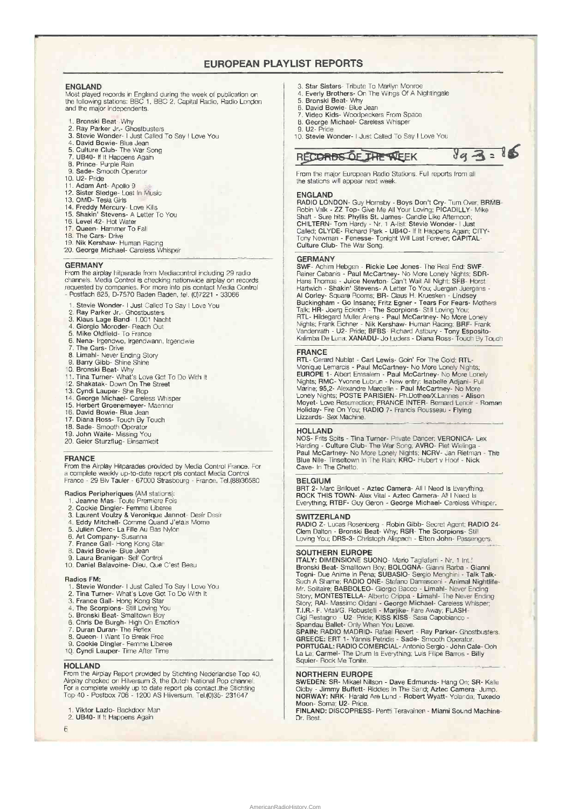## EUROPEAN PLAYLIST REPORTS

ENGLAND Most played records in England during the week of publication on the following stations: BBC 1, BBC 2, Capital Radio, Radio London and the major independents.

- 
- 
- 1. Bronski Beat- Why 2. Ray Parker Jr,- Ghostbusters 3. Stevie Wonder- I Just Called To Say I Love You
- 
- 4. David Bowie- Blue Jean 5. Culture Club- The War Song 7. UB40- If It Happens Again 8. Prince- Purple Rain 9. Sade- Smooth Operator
- 
- 
- 10. U2- Pride
- 
- 11. Adam Ant- Apollo 9 12. Sister Sledge- Lost In Music 13. OMD- Tesla Girls
- 
- 14, Freddy Mercury- Love Kills 15. Shakin' Stevens- A Letter To You
- 
- 16. Level 42- Hot Water
- 17. Queen- Hammer To Fall 18. The Cars- Drive
- 
- 19. Nik Kershaw- Human Racing 20, George Michael- Careless Whisper

### GERMANY

From the airplay hitparade from Mediacontrol including 29 radio channels. Media Control is checking nationwide airplay on records requested by companies. For more info pis contact Media Control - Postfach 625, D-7570 Baden Baden, tel. (0)7221 - 33066

- 1. Stevie Wonder- I Just Called To Say I Love You<br>2. Ray Parker Jr.- Ghostbusters<br>3. Klaus Lage Band- 1.001 Nacht<br>4. Giorgio Moroder- Reach Out
- 
- 
- 
- 
- 5. Mike Oldfield- To France 6. Nena- Irgendwo, Irgendwann, Irgendvvie
- 7. The Cars- Drive<br>8. Limahl- Never F
- 8. Limahl- Never Ending Story 9. Barry Gibb- Shine Shine
- 
- 
- 10. Bronski Beat- Why 11. Tina Turner- What's Love Got To Do With It 12. Shakatak- Down On The Street
- 
- 13. Cyndi Lauper- She Bop
- 14. George Michael- Careless Whisper 15. Herbert Groenemeyer- Maenner
- 
- 
- 16. David Bowie- Blue Jean 17. Diana Ross- Touch By Touch 18. Sade- Smooth Operator
- 19. John Waite- Missing You
- 20. Geier Sturzflug- Einsamkeit

### FRANCE

From the Airplay Hitparades provided by Media Control France. For a complete weekly up-to-date report pis contact Media Control France - 29 Blv Tauler - 67000 Strasbourg - France. Tel.(88)36580

- 
- 
- Radios Peripheriques (AM stations):<br>
1. Jeanne Mas-Toute Premiere Fois<br>
2. Cookie Dingler-Femme Libere<br>
3. Laurent Voulzy & Veronique Jannot-Desir Desir<br>
4. Eddy Mitchell-Comme Quand J'etais Mome<br>
5. Julien Clerc-La Fille
- 
- 
- 6. Art Company- Susanna 7. France Gall- Hong Kong Star 8. David Bowie- Blue Jean
- 
- 
- 9. Laura Branigan- Self Control 10, Daniel Balavoine- Dieu, Que C'est Beau

- Radios FM: 1. Stevie Wonder- I Just Called To Say I Love You 2. Tina Turner- What's Love Got To Do With It 3. France Gall- Hong Kong Star 4. The Scorpions- Still Loving You 5. Bronski Beat- Smalltown Boy
- 
- 
- 
- 
- 6. Chris De Burgh- High On Emotion 7. Duran Duran- The Reflex 8. Queen- I Want To Break Free 9. Cookie Dingier- Femme Uberee 10. Cyndi Lauper- Time After Time
- 
- 
- 
- 

**HOLLAND**<br>From the Airplay Report provided by Stichting Nederlandse Top 40,<br>Airplay checked on Hilversum 3, the Dutch National Pop channel.<br>For a complete weekly up to date report pls contact the Stichting<br>Top 40 - Postbox

- Viktor Lazio- Backdoor Man
- 2. UB40- If It Happens Again
- 6
- 3. Star Sisters- Tribute To Marilyn Monroe
- 4. Everly Brothers- On The Wings Of A Nightingale 5. Bronski Beat- Why
- 
- 6. David Bowie- Blue Jean 7. Video Kids- Woodpeckers From Space
- B. George Michael- Careless Whisper
- U2- Pride
- 10. Stevie Wonder- I Just Called To Say I Love You

# $RECORBS$  O.E, THE WEEK  $\frac{1}{4}$   $\frac{3}{4}$  = 86

From the major European Radio Stations. Full reports from all the stations will appear next week.

**ENGLAND**<br>
RADIO LONDON- Guy Hornsby - Boys Don't Cry- Tum Over, BRMB-<br>
RADIO LONDON- Guy Hornsby - Boys Don't Cry- Tum Over, BRMB-<br>
Robin Valk - ZZ Top- Give Me All Your Loving; PICADILLY- Mike<br>
Shaft - Sure hits: Phyllis

**GERMANY**<br>
SWF- Achim Hebgen - Rickie Lee Jones- The Real End: SWF-<br>
Rainer Cabanis - Paul McCartney- No More Lonely Nights; SDR-<br>
Rainer Chohanis - Paul McCartney- No More Lonely Night; SFB- Horst<br>
Hartwich - Shakin' Stev

**FRANCE**<br>RTL- Gerard Nublat - Carl Lewis- Goin' For The Gold: RTL-<br>Monique Lemarcis - Paul McCartney- No More Lonely Nights;<br>EUROPE 1- Albert Emsalem - Paul McCartney- No More Lonely<br>Nights; RMC- Yvonne Lubrun - New entry: Holiday- Fire On You; RADIO 7- Francis Rousseau - Flying Lizzards- Sex Machine.

HOLLAND NOS- Frits Spits - Tina Turner- Private Dancer; VERONICA- Lex Harding - Culture Club- The War Song; AVRO- Piet Wielinga - Paul McCartney- No More Lonely Nights; NCRV- Jan Rietman - The Blue Nile- Tinseltown In The Rain; KRO- Hubert v Hoof - Nick Cave- In The Ghetto.

BELGIUM BRT 2- Marc Brillouet - Aztec Camera- All I Need Is Everything; ROCK THIS TOWN- Alex Vital - Aztec Camera- All I Need Is Everything; RTBF- Guy Geron - George Michael- Careless Whisper.

**SWITZERLAND**<br>RADIO Z- Lucas Rosenberg - Robin Gibb- Secret Agent; RADIO 24-<br>Clem Dalton - Bronski Beat- Why; RSR- The Scorpions- Still<br>Loving You; DRS-3- Christoph Alispach - Elton John- Passengers.

**SOUTHERN EUROPE**<br>
ITALY: DIMENSIONE SUONO- Mario Tagliaferri - Nr. 1 Int.<sup>1</sup><br>
Bronski Beat- Smalltown Boy; BOLOGNA- Gianni Barba - Gianni<br>
Togni- Due Anime In Pena; SUBASIO- Sergio Menghini - Talk Talk-<br>
Such A Sharne; RA

## NORTHERN EUROPE

SWEDEN: SR- Mikael Nillson - Dave Edmunds- Hang On; SR- Kalle<br>Oldby - Jimmy Buffett- Riddles In The Sand; Aztec Camera- Jump.<br>NORWAY: NRK- Harald Are Lund - Robert Wyatt- Yolanda; Tuxedo<br>Moon- Soma; U2- Pride.<br>FINLAND: DIS

Dr. Beat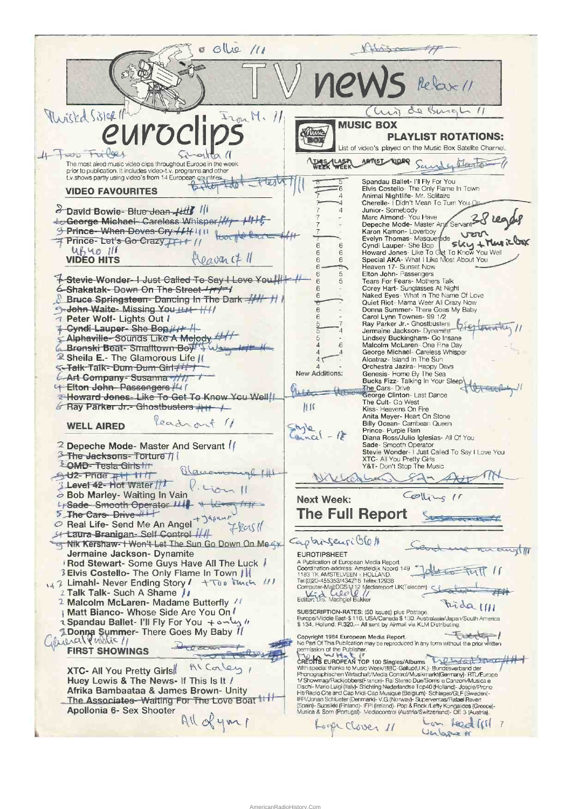Olle 11 Murisked Sister 1 de Burgh 11 wir  $Tran M.$ // **MUSIC BOX** Kitten **PLAYLIST ROTATIONS:** D List of video's played on the Music Box Satelite Channel. 4 Food Friles  $\alpha$  (1) **ARTIST** NOR Sandex Class WERK WEEK The most aired music video clips throughout Europe in the week<br>prior to publication. It includes video-t.v. programs and other t.v.shows partly using video's from 14 European countries Spandau Ballet- I'll Fly For You<br>Elvis Costello- The Only Flame In Town<br>Animal Nightlife- Mr. Solitaire<br>Cherelle- I Didn't Mean To Turn You FOWT ć **VIDEO FAVOURITES**  $\overline{A}$ Junior-Somebody<br>Marc Almond-You Have<br>Depeche Mode-Master An **David Bowie-Blue-Jean-Hilf** III  $\overline{a}$ Servant 38 Ceorge Michael-Careless Whisper George Michael Carlos Cry / 11 11 11 12 Experime in Loverboy<br>
Karon Kamon - Loverboy<br>
Evelyn Thomas - Masquerade<br>
Cyndi Lauper - She Bop<br>
Howard Jones - Like To Get To Know You<br>
Special AKA - What I Like Most About You<br>
Special AKA - What I Like Most About You Prince-Let's Go Crazy TH+ // Sky + Music  $\,$  6  $\,$  $UfUQ||f$  $\frac{6}{6}$  $Ho$ avan ( $\neq$  11 **VIDEO HITS** Heaven 17- Sunset Now<br>Elton John- Passengers<br>Tears For Fears- Mothers Talk 5 **1-Stevie-Wonder-I Just Called To Say I Love You Hit A** Fears I of Teats<br>Corey Hart- Sunglasses At Night<br>Naked Eyes- What in The Name Of Love<br>Quiet Riot- Mama Weer All Crazy Now 6-Shakatak-Down On The Street +++++ ĥ **8 Bruce Springsteen- Dancing In The Dark 44 H** Guiet Hiot - Marina Weer All Crazy Now<br>
Donna Summ Townes - 99 1/2<br>
Carol Lynn Townes - 99 1/2<br>
Ray Parker Jr. - Ghostbusters<br>
Jermaine Jackson - Dynamite<br>
Lindsey Buckingham - Go Insane 9-John Waite- Missing You !!!! - | / / Peter Wolf- Lights Out I Cyndi-Lauper-She Bop /// Alphaville-Sounds Like A Melody Enlaced McLaren-One Fine Day<br>George Michael- Careless Whisper<br>Alcatraz- Island In The Sun 6 Bronski Beat-Smalltown Boy 2 Sheila E.- The Glamorous Life /( Alcatraz-Island in the Sun<br>
Orchestra Jazzra-Happy Days<br>
Genesis-Home By The Sea<br>
Bucks Fizz-Talking In Your Sleep<br>
The Cars-Drive<br>
George Clinton-Last Dance S-Talk-Talk-Dum-Dum-Girl+ New Additions: 6-Art Company-Susanna 4 Elton John Passengers /4 / Ut cut Mille theres. **2 Howard Jones- Like To Get To Know You Well!** The Cult- Go West 6 Ray Parker Jr. - Ghostbusters +++ + 准区 Kiss-Heavens On Fire<br>Anita Meyer-Heart On Stone<br>Billy Ocean-Carribean Queen Readront 11 **WELL AIRED**  $5h1e$ Prince- Purple Rain  $mcl - l<sup>2</sup>$ Diana Ross/Julio Iglesias- All Of You Diana Hosszyalino Iglesias, Air Ol Tou<br>Stade: Smooth Operator<br>Stevie Wonder - I Just Called To Say I Love You<br>XTC - All You Pretty Girls<br>Y&T - Don't Stop The Music <sup>2</sup> Depeche Mode- Master And Servant | **3-The Jacksons-Torture // &OMD-Testa Girls fith** Blaucomongl 141 SUZ-Pride <sub>TH</sub> 11/7 Level 42- Hot Water // Bob Marley- Waiting In Vain Colline 11 **Next Week:** FSade-Smooth Operator !!!  $7$  tilt **The Full Report** Real Life- Send Me An Angel + 34 7 leas 11 St Laura Branigan- Self Control 1/11 Captur Sensi O6/ Nik Kershaw-I Won't Let The Sun Go Down On Me << cangli Jermaine Jackson- Dynamite EUROTIPSHEET A Publication of European Media Report Rod Stewart- Some Guys Have All The Luck / 2007 Translation-address: Amsteldijk Noord 149<br>1183 TK AMSTELVEEN - HOLLAND.<br>Tel:(0)20-455353/434216 Telex:12938 3 Elvis Costello- The Only Flame In Town / | 147 Limahl- Never Ending Story / + Too Tuch !!! Computer-MajtDGS1112 Mediareport UK(Telecom)<br>Computer-MajtDGS1112 Mediareport UK(Telecom)<br>Editor: Dis. Machgiel Bakker 2 Talk Talk- Such A Shame // <sup>2</sup> Malcolm McLaren- Madame Butterfly / Frida IIII SUBSCRIPTION-RATES: (50 issues) plus Postage.<br>Europe/Middle East-\$ 116, USA/Canada \$ 130. Australasia/Japan/South America<br>\$ 134, Holland: Fl.320,-- All sent by Airmail via KLM Distributing. ¡ Matt Bianco- Whose Side Are You On / 1/ Spandau Ballet- I'll Fly For You + مسلم 1/ I Donna Summer- There Goes My Baby 11 S 134, Holland: H.320,-- All sent by Airmail via KLM Distributing.<br>
Copyright 1984 European Media Report.<br>
No Part Of This Publishering may be reproduced in any form without the prior written<br>
No Part Of This Publisher.<br>
O **FIRST SHOWINGS** Alcaley **XTC- All You Pretty Girls** Huey Lewis & The News- If This Is It / Afrika Bambaataa & James Brown- Unity The Associates-Waiting For The Love Boat 11 H Apollonia 6- Sex Shooter All of your Lon feed (11) 7 Loope Clover 11 Cerbone #